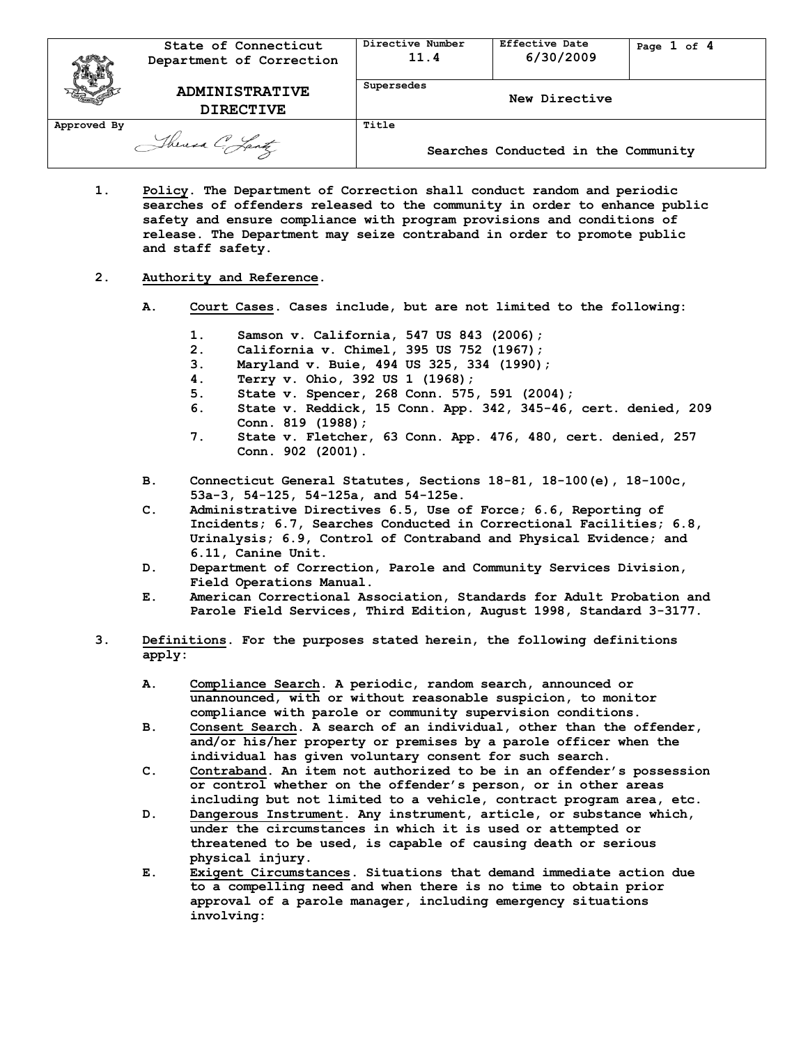| 可以          | State of Connecticut<br>Department of Correction | Directive Number<br>11.4 | <b>Effective Date</b><br>6/30/2009  | Page $1$ of $4$ |
|-------------|--------------------------------------------------|--------------------------|-------------------------------------|-----------------|
|             | <b>ADMINISTRATIVE</b><br><b>DIRECTIVE</b>        | Supersedes               | New Directive                       |                 |
| Approved By | Theresa C. Lantz                                 | Title                    | Searches Conducted in the Community |                 |

**1. Policy. The Department of Correction shall conduct random and periodic searches of offenders released to the community in order to enhance public safety and ensure compliance with program provisions and conditions of release. The Department may seize contraband in order to promote public and staff safety.**

## **2. Authority and Reference.**

- **A. Court Cases. Cases include, but are not limited to the following:**
	- **1. Samson v. California, 547 US 843 (2006);**
	- **2. California v. Chimel, 395 US 752 (1967);**
	- **3. Maryland v. Buie, 494 US 325, 334 (1990);**
	- **4. Terry v. Ohio, 392 US 1 (1968);**
	- **5. State v. Spencer, 268 Conn. 575, 591 (2004);**
	- **6. State v. Reddick, 15 Conn. App. 342, 345-46, cert. denied, 209 Conn. 819 (1988);**
	- **7. State v. Fletcher, 63 Conn. App. 476, 480, cert. denied, 257 Conn. 902 (2001).**
- **B. Connecticut General Statutes, Sections 18-81, 18-100(e), 18-100c, 53a-3, 54-125, 54-125a, and 54-125e.**
- **C. Administrative Directives 6.5, Use of Force; 6.6, Reporting of Incidents; 6.7, Searches Conducted in Correctional Facilities; 6.8, Urinalysis; 6.9, Control of Contraband and Physical Evidence; and 6.11, Canine Unit.**
- **D. Department of Correction, Parole and Community Services Division, Field Operations Manual.**
- **E. American Correctional Association, Standards for Adult Probation and Parole Field Services, Third Edition, August 1998, Standard 3-3177.**
- **3. Definitions. For the purposes stated herein, the following definitions apply:** 
	- **A. Compliance Search. A periodic, random search, announced or unannounced, with or without reasonable suspicion, to monitor compliance with parole or community supervision conditions.**
	- **B. Consent Search. A search of an individual, other than the offender, and/or his/her property or premises by a parole officer when the individual has given voluntary consent for such search.**
	- **C. Contraband. An item not authorized to be in an offender's possession or control whether on the offender's person, or in other areas including but not limited to a vehicle, contract program area, etc.**
	- **D. Dangerous Instrument. Any instrument, article, or substance which, under the circumstances in which it is used or attempted or threatened to be used, is capable of causing death or serious physical injury.**
	- **E. Exigent Circumstances. Situations that demand immediate action due to a compelling need and when there is no time to obtain prior approval of a parole manager, including emergency situations involving:**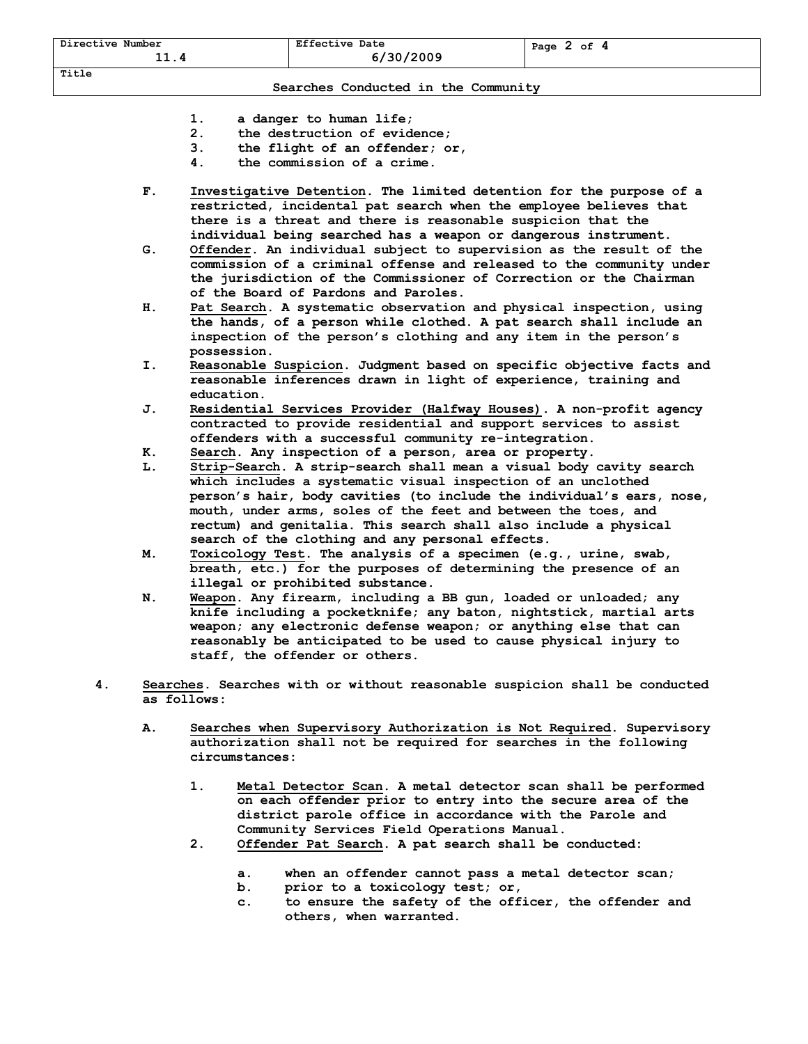| Directive Number<br>11.4 | <b>Effective Date</b><br>6/30/2009 | Page $2$ of $4$ |
|--------------------------|------------------------------------|-----------------|
| Title                    |                                    |                 |

## **Searches Conducted in the Community**

- **1. a danger to human life;**
- **2. the destruction of evidence;**
- **3. the flight of an offender; or,**
- **4. the commission of a crime.**
- **F. Investigative Detention. The limited detention for the purpose of a restricted, incidental pat search when the employee believes that there is a threat and there is reasonable suspicion that the individual being searched has a weapon or dangerous instrument.**
- **G. Offender. An individual subject to supervision as the result of the commission of a criminal offense and released to the community under the jurisdiction of the Commissioner of Correction or the Chairman of the Board of Pardons and Paroles.**
- **H. Pat Search. A systematic observation and physical inspection, using the hands, of a person while clothed. A pat search shall include an inspection of the person's clothing and any item in the person's possession.**
- **I. Reasonable Suspicion. Judgment based on specific objective facts and reasonable inferences drawn in light of experience, training and education.**
- **J. Residential Services Provider (Halfway Houses). A non-profit agency contracted to provide residential and support services to assist offenders with a successful community re-integration.**
- **K. Search. Any inspection of a person, area or property.**
- **L. Strip-Search. A strip-search shall mean a visual body cavity search which includes a systematic visual inspection of an unclothed person's hair, body cavities (to include the individual's ears, nose, mouth, under arms, soles of the feet and between the toes, and rectum) and genitalia. This search shall also include a physical search of the clothing and any personal effects.**
- **M. Toxicology Test. The analysis of a specimen (e.g., urine, swab, breath, etc.) for the purposes of determining the presence of an illegal or prohibited substance.**
- **N. Weapon. Any firearm, including a BB gun, loaded or unloaded; any knife including a pocketknife; any baton, nightstick, martial arts weapon; any electronic defense weapon; or anything else that can reasonably be anticipated to be used to cause physical injury to staff, the offender or others.**
- **4. Searches. Searches with or without reasonable suspicion shall be conducted as follows:**
	- **A. Searches when Supervisory Authorization is Not Required. Supervisory authorization shall not be required for searches in the following circumstances:**
		- **1. Metal Detector Scan. A metal detector scan shall be performed on each offender prior to entry into the secure area of the district parole office in accordance with the Parole and Community Services Field Operations Manual.**
		- **2. Offender Pat Search. A pat search shall be conducted:**
			- **a. when an offender cannot pass a metal detector scan;**
			- **b. prior to a toxicology test; or,**
			- **c. to ensure the safety of the officer, the offender and others, when warranted.**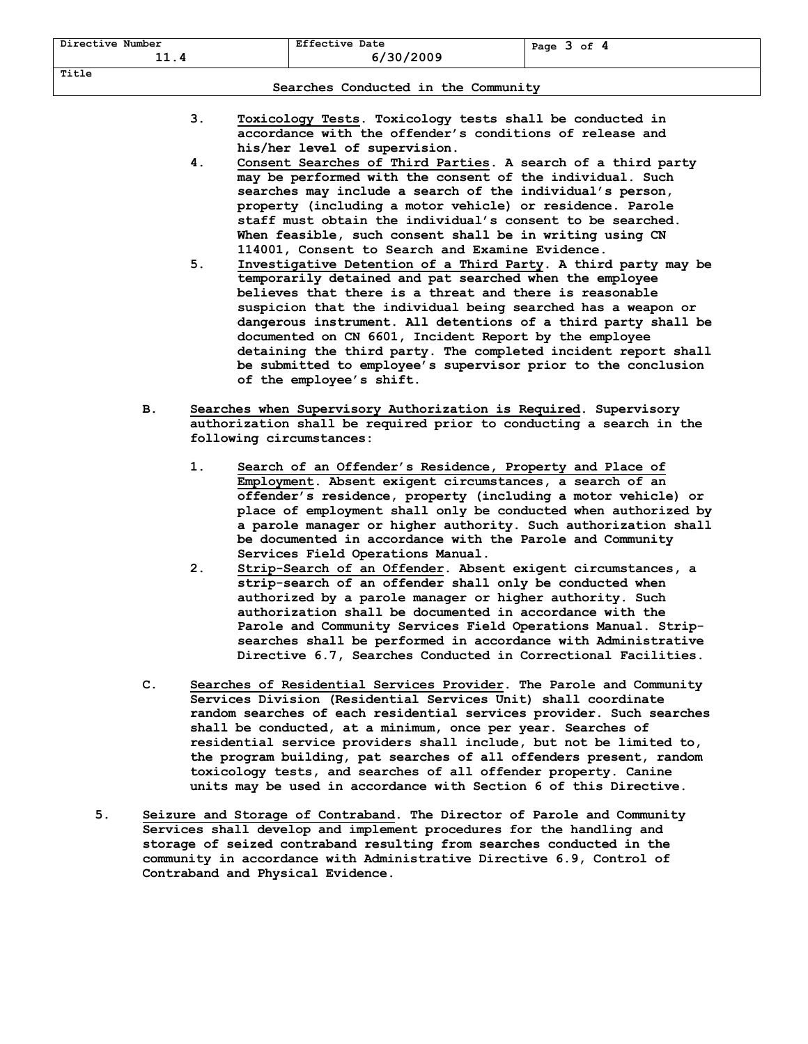| Directive Number<br><u> -</u> | <b>Effective Date</b><br>1/30/2009 | оf<br>Page<br>- |  |  |  |
|-------------------------------|------------------------------------|-----------------|--|--|--|
| Title                         |                                    |                 |  |  |  |

## **Searches Conducted in the Community**

- **3. Toxicology Tests. Toxicology tests shall be conducted in accordance with the offender's conditions of release and his/her level of supervision.**
- **4. Consent Searches of Third Parties. A search of a third party may be performed with the consent of the individual. Such searches may include a search of the individual's person, property (including a motor vehicle) or residence. Parole staff must obtain the individual's consent to be searched. When feasible, such consent shall be in writing using CN 114001, Consent to Search and Examine Evidence.**
- **5. Investigative Detention of a Third Party. A third party may be temporarily detained and pat searched when the employee believes that there is a threat and there is reasonable suspicion that the individual being searched has a weapon or dangerous instrument. All detentions of a third party shall be documented on CN 6601, Incident Report by the employee detaining the third party. The completed incident report shall be submitted to employee's supervisor prior to the conclusion of the employee's shift.**
- **B. Searches when Supervisory Authorization is Required. Supervisory authorization shall be required prior to conducting a search in the following circumstances:** 
	- **1. Search of an Offender's Residence, Property and Place of Employment. Absent exigent circumstances, a search of an offender's residence, property (including a motor vehicle) or place of employment shall only be conducted when authorized by a parole manager or higher authority. Such authorization shall be documented in accordance with the Parole and Community Services Field Operations Manual.**
	- **2. Strip-Search of an Offender. Absent exigent circumstances, a strip-search of an offender shall only be conducted when authorized by a parole manager or higher authority. Such authorization shall be documented in accordance with the Parole and Community Services Field Operations Manual. Stripsearches shall be performed in accordance with Administrative Directive 6.7, Searches Conducted in Correctional Facilities.**
- **C. Searches of Residential Services Provider. The Parole and Community Services Division (Residential Services Unit) shall coordinate random searches of each residential services provider. Such searches shall be conducted, at a minimum, once per year. Searches of residential service providers shall include, but not be limited to, the program building, pat searches of all offenders present, random toxicology tests, and searches of all offender property. Canine units may be used in accordance with Section 6 of this Directive.**
- **5. Seizure and Storage of Contraband. The Director of Parole and Community Services shall develop and implement procedures for the handling and storage of seized contraband resulting from searches conducted in the community in accordance with Administrative Directive 6.9, Control of Contraband and Physical Evidence.**